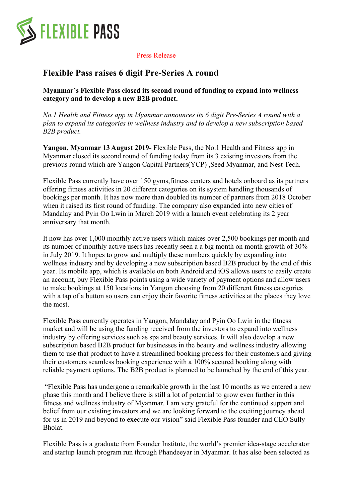

Press Release

## **Flexible Pass raises 6 digit Pre-Series A round**

**Myanmar's Flexible Pass closed its second round of funding to expand into wellness category and to develop a new B2B product.**

*No.1 Health and Fitness app in Myanmar announces its 6 digit Pre-Series A round with a plan to expand its categories in wellness industry and to develop a new subscription based B2B product.*

**Yangon, Myanmar 13 August 2019-** Flexible Pass, the No.1 Health and Fitness app in Myanmar closed its second round of funding today from its 3 existing investors from the previous round which are Yangon Capital Partners(YCP) ,Seed Myanmar, and Nest Tech.

Flexible Pass currently have over 150 gyms,fitness centers and hotels onboard as its partners offering fitness activities in 20 different categories on its system handling thousands of bookings per month. It has now more than doubled its number of partners from 2018 October when it raised its first round of funding. The company also expanded into new cities of Mandalay and Pyin Oo Lwin in March 2019 with a launch event celebrating its 2 year anniversary that month.

It now has over 1,000 monthly active users which makes over 2,500 bookings per month and its number of monthly active users has recently seen a a big month on month growth of 30% in July 2019. It hopes to grow and multiply these numbers quickly by expanding into wellness industry and by developing a new subscription based B2B product by the end of this year. Its mobile app, which is available on both Android and iOS allows users to easily create an account, buy Flexible Pass points using a wide variety of payment options and allow users to make bookings at 150 locations in Yangon choosing from 20 different fitness categories with a tap of a button so users can enjoy their favorite fitness activities at the places they love the most.

Flexible Pass currently operates in Yangon, Mandalay and Pyin Oo Lwin in the fitness market and will be using the funding received from the investors to expand into wellness industry by offering services such as spa and beauty services. It will also develop a new subscription based B2B product for businesses in the beauty and wellness industry allowing them to use that product to have a streamlined booking process for their customers and giving their customers seamless booking experience with a 100% secured booking along with reliable payment options. The B2B product is planned to be launched by the end of this year.

"Flexible Pass has undergone a remarkable growth in the last 10 months as we entered a new phase this month and I believe there is still a lot of potential to grow even further in this fitness and wellness industry of Myanmar. I am very grateful for the continued support and belief from our existing investors and we are looking forward to the exciting journey ahead for us in 2019 and beyond to execute our vision" said Flexible Pass founder and CEO Sully Bholat.

Flexible Pass is a graduate from Founder Institute, the world's premier idea-stage accelerator and startup launch program run through Phandeeyar in Myanmar. It has also been selected as